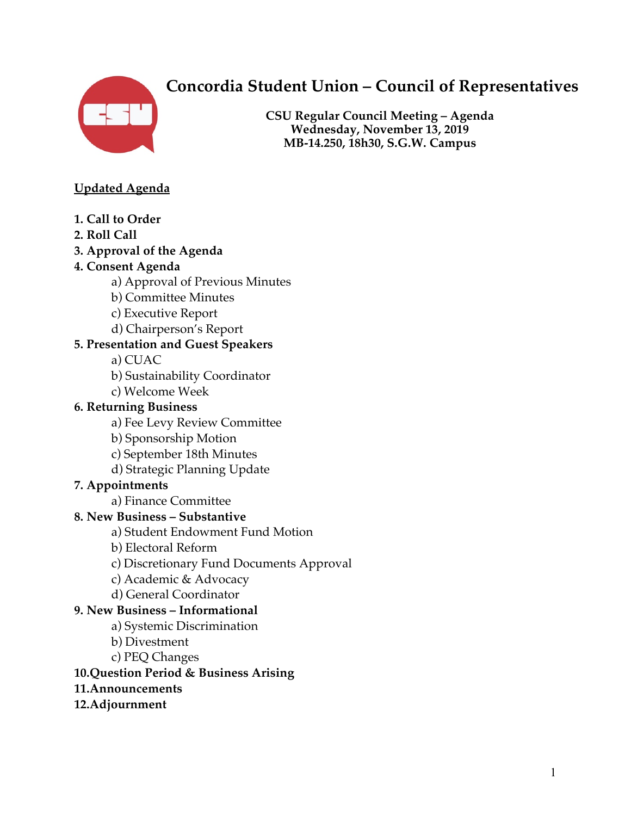

# **Concordia Student Union – Council of Representatives**

**CSU Regular Council Meeting – Agenda Wednesday, November 13, 2019 MB-14.250, 18h30, S.G.W. Campus**

#### **Updated Agenda**

- **1. Call to Order**
- **2. Roll Call**
- **3. Approval of the Agenda**

#### **4. Consent Agenda**

- a) Approval of Previous Minutes
- b) Committee Minutes
- c) Executive Report
- d) Chairperson's Report

#### **5. Presentation and Guest Speakers**

a) CUAC

- b) Sustainability Coordinator
- c) Welcome Week

#### **6. Returning Business**

- a) Fee Levy Review Committee
- b) Sponsorship Motion
- c) September 18th Minutes
- d) Strategic Planning Update

#### **7. Appointments**

a) Finance Committee

#### **8. New Business – Substantive**

a) Student Endowment Fund Motion

- b) Electoral Reform
- c) Discretionary Fund Documents Approval
- c) Academic & Advocacy
- d) General Coordinator

#### **9. New Business – Informational**

- a) Systemic Discrimination
- b) Divestment
- c) PEQ Changes

#### **10.Question Period & Business Arising**

- **11.Announcements**
- **12.Adjournment**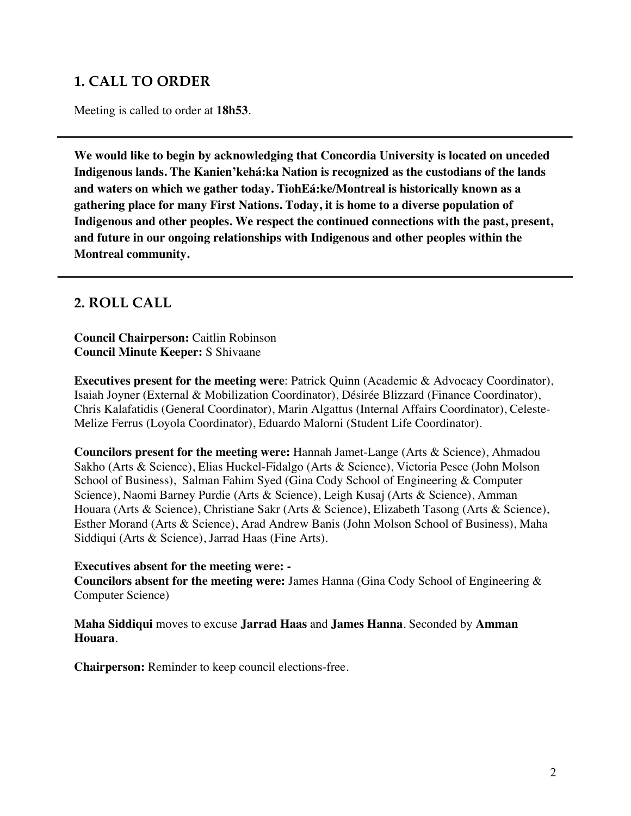## **1. CALL TO ORDER**

Meeting is called to order at **18h53**.

**We would like to begin by acknowledging that Concordia University is located on unceded Indigenous lands. The Kanien'kehá:ka Nation is recognized as the custodians of the lands and waters on which we gather today. TiohEá:ke/Montreal is historically known as a gathering place for many First Nations. Today, it is home to a diverse population of Indigenous and other peoples. We respect the continued connections with the past, present, and future in our ongoing relationships with Indigenous and other peoples within the Montreal community.**

### **2. ROLL CALL**

**Council Chairperson:** Caitlin Robinson **Council Minute Keeper:** S Shivaane

**Executives present for the meeting were**: Patrick Quinn (Academic & Advocacy Coordinator), Isaiah Joyner (External & Mobilization Coordinator), Désirée Blizzard (Finance Coordinator), Chris Kalafatidis (General Coordinator), Marin Algattus (Internal Affairs Coordinator), Celeste-Melize Ferrus (Loyola Coordinator), Eduardo Malorni (Student Life Coordinator).

**Councilors present for the meeting were:** Hannah Jamet-Lange (Arts & Science), Ahmadou Sakho (Arts & Science), Elias Huckel-Fidalgo (Arts & Science), Victoria Pesce (John Molson School of Business), Salman Fahim Syed (Gina Cody School of Engineering & Computer Science), Naomi Barney Purdie (Arts & Science), Leigh Kusaj (Arts & Science), Amman Houara (Arts & Science), Christiane Sakr (Arts & Science), Elizabeth Tasong (Arts & Science), Esther Morand (Arts & Science), Arad Andrew Banis (John Molson School of Business), Maha Siddiqui (Arts & Science), Jarrad Haas (Fine Arts).

#### **Executives absent for the meeting were: -**

**Councilors absent for the meeting were:** James Hanna (Gina Cody School of Engineering & Computer Science)

**Maha Siddiqui** moves to excuse **Jarrad Haas** and **James Hanna**. Seconded by **Amman Houara**.

**Chairperson:** Reminder to keep council elections-free.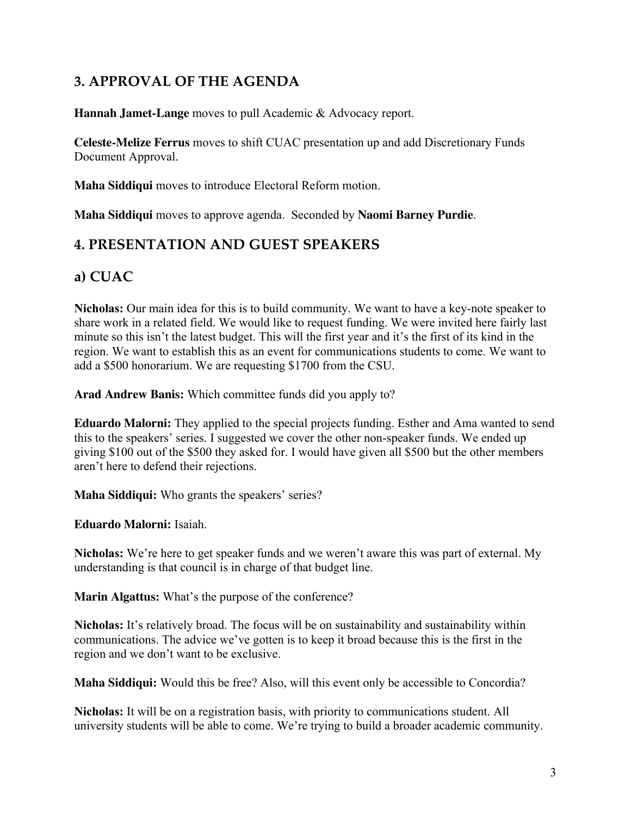## **3. APPROVAL OF THE AGENDA**

**Hannah Jamet-Lange** moves to pull Academic & Advocacy report.

**Celeste-Melize Ferrus** moves to shift CUAC presentation up and add Discretionary Funds Document Approval.

**Maha Siddiqui** moves to introduce Electoral Reform motion.

**Maha Siddiqui** moves to approve agenda. Seconded by **Naomi Barney Purdie**.

## **4. PRESENTATION AND GUEST SPEAKERS**

## **a) CUAC**

**Nicholas:** Our main idea for this is to build community. We want to have a key-note speaker to share work in a related field. We would like to request funding. We were invited here fairly last minute so this isn't the latest budget. This will the first year and it's the first of its kind in the region. We want to establish this as an event for communications students to come. We want to add a \$500 honorarium. We are requesting \$1700 from the CSU.

**Arad Andrew Banis:** Which committee funds did you apply to?

**Eduardo Malorni:** They applied to the special projects funding. Esther and Ama wanted to send this to the speakers' series. I suggested we cover the other non-speaker funds. We ended up giving \$100 out of the \$500 they asked for. I would have given all \$500 but the other members aren't here to defend their rejections.

**Maha Siddiqui:** Who grants the speakers' series?

**Eduardo Malorni:** Isaiah.

**Nicholas:** We're here to get speaker funds and we weren't aware this was part of external. My understanding is that council is in charge of that budget line.

**Marin Algattus:** What's the purpose of the conference?

**Nicholas:** It's relatively broad. The focus will be on sustainability and sustainability within communications. The advice we've gotten is to keep it broad because this is the first in the region and we don't want to be exclusive.

**Maha Siddiqui:** Would this be free? Also, will this event only be accessible to Concordia?

**Nicholas:** It will be on a registration basis, with priority to communications student. All university students will be able to come. We're trying to build a broader academic community.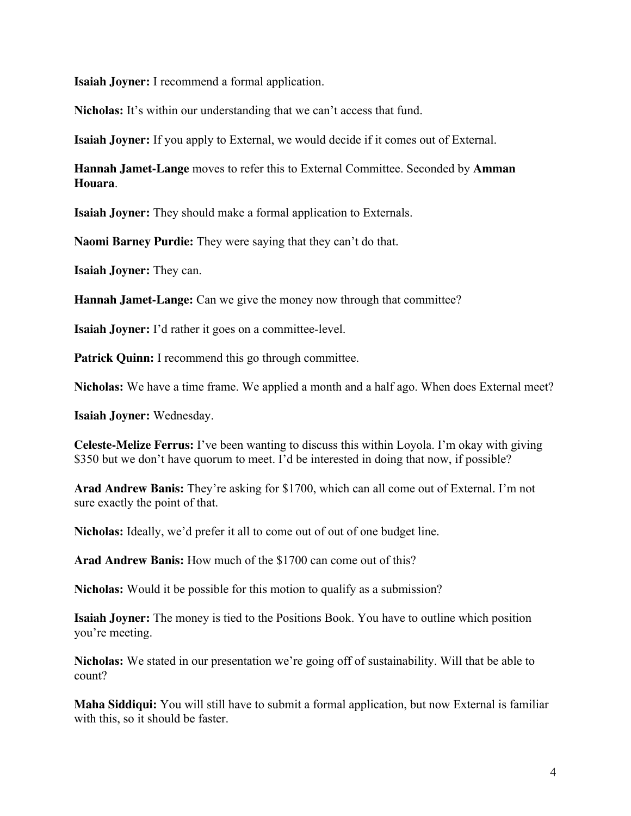**Isaiah Joyner:** I recommend a formal application.

**Nicholas:** It's within our understanding that we can't access that fund.

**Isaiah Joyner:** If you apply to External, we would decide if it comes out of External.

**Hannah Jamet-Lange** moves to refer this to External Committee. Seconded by **Amman Houara**.

**Isaiah Joyner:** They should make a formal application to Externals.

**Naomi Barney Purdie:** They were saying that they can't do that.

**Isaiah Joyner:** They can.

**Hannah Jamet-Lange:** Can we give the money now through that committee?

**Isaiah Joyner:** I'd rather it goes on a committee-level.

**Patrick Quinn:** I recommend this go through committee.

**Nicholas:** We have a time frame. We applied a month and a half ago. When does External meet?

**Isaiah Joyner:** Wednesday.

**Celeste-Melize Ferrus:** I've been wanting to discuss this within Loyola. I'm okay with giving \$350 but we don't have quorum to meet. I'd be interested in doing that now, if possible?

**Arad Andrew Banis:** They're asking for \$1700, which can all come out of External. I'm not sure exactly the point of that.

**Nicholas:** Ideally, we'd prefer it all to come out of out of one budget line.

**Arad Andrew Banis:** How much of the \$1700 can come out of this?

**Nicholas:** Would it be possible for this motion to qualify as a submission?

**Isaiah Joyner:** The money is tied to the Positions Book. You have to outline which position you're meeting.

**Nicholas:** We stated in our presentation we're going off of sustainability. Will that be able to count?

**Maha Siddiqui:** You will still have to submit a formal application, but now External is familiar with this, so it should be faster.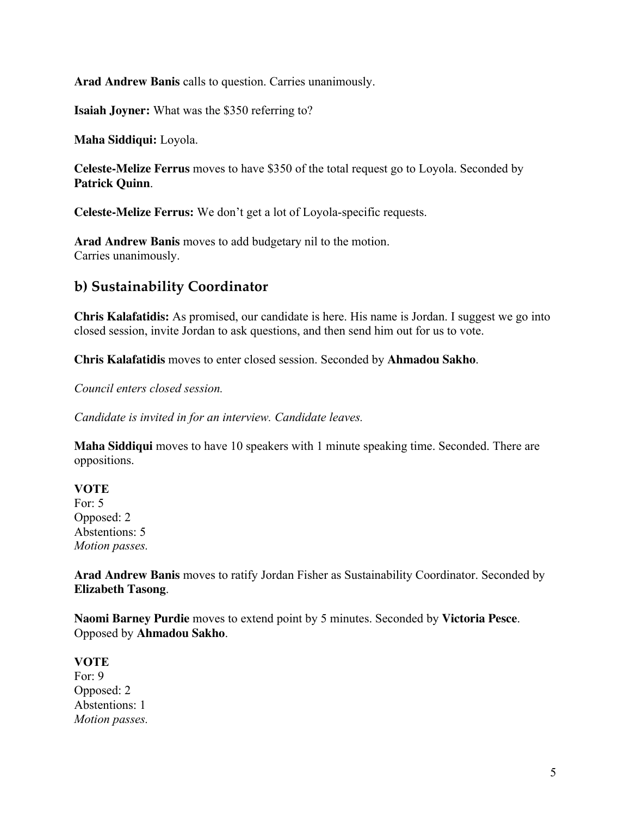**Arad Andrew Banis** calls to question. Carries unanimously.

**Isaiah Joyner:** What was the \$350 referring to?

**Maha Siddiqui:** Loyola.

**Celeste-Melize Ferrus** moves to have \$350 of the total request go to Loyola. Seconded by **Patrick Quinn**.

**Celeste-Melize Ferrus:** We don't get a lot of Loyola-specific requests.

**Arad Andrew Banis** moves to add budgetary nil to the motion. Carries unanimously.

### **b) Sustainability Coordinator**

**Chris Kalafatidis:** As promised, our candidate is here. His name is Jordan. I suggest we go into closed session, invite Jordan to ask questions, and then send him out for us to vote.

**Chris Kalafatidis** moves to enter closed session. Seconded by **Ahmadou Sakho**.

*Council enters closed session.*

*Candidate is invited in for an interview. Candidate leaves.*

**Maha Siddiqui** moves to have 10 speakers with 1 minute speaking time. Seconded. There are oppositions.

**VOTE** For: 5 Opposed: 2 Abstentions: 5 *Motion passes.*

**Arad Andrew Banis** moves to ratify Jordan Fisher as Sustainability Coordinator. Seconded by **Elizabeth Tasong**.

**Naomi Barney Purdie** moves to extend point by 5 minutes. Seconded by **Victoria Pesce**. Opposed by **Ahmadou Sakho**.

**VOTE** For: 9 Opposed: 2 Abstentions: 1 *Motion passes.*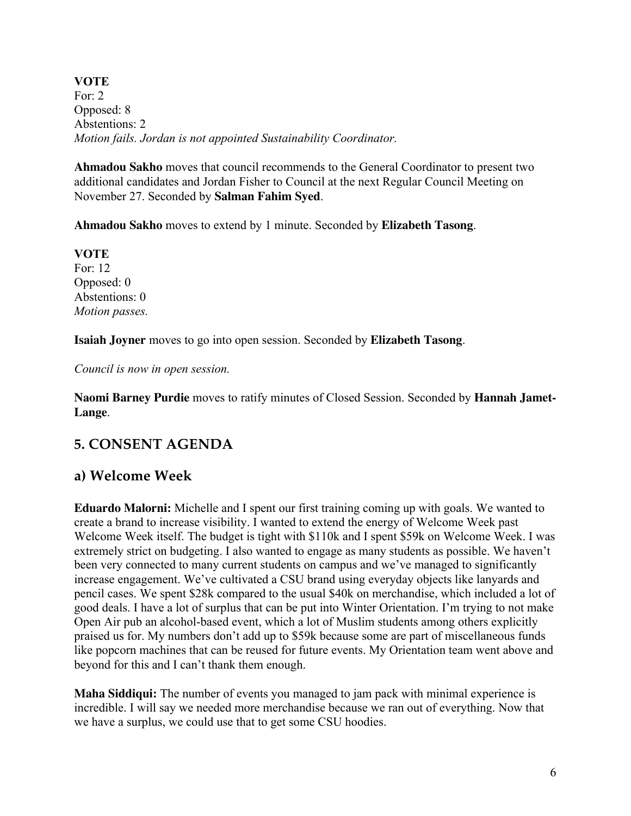**VOTE** For: 2 Opposed: 8 Abstentions: 2 *Motion fails. Jordan is not appointed Sustainability Coordinator.*

**Ahmadou Sakho** moves that council recommends to the General Coordinator to present two additional candidates and Jordan Fisher to Council at the next Regular Council Meeting on November 27. Seconded by **Salman Fahim Syed**.

**Ahmadou Sakho** moves to extend by 1 minute. Seconded by **Elizabeth Tasong**.

**VOTE** For: 12 Opposed: 0 Abstentions: 0 *Motion passes.*

**Isaiah Joyner** moves to go into open session. Seconded by **Elizabeth Tasong**.

*Council is now in open session.*

**Naomi Barney Purdie** moves to ratify minutes of Closed Session. Seconded by **Hannah Jamet-Lange**.

### **5. CONSENT AGENDA**

### **a) Welcome Week**

**Eduardo Malorni:** Michelle and I spent our first training coming up with goals. We wanted to create a brand to increase visibility. I wanted to extend the energy of Welcome Week past Welcome Week itself. The budget is tight with \$110k and I spent \$59k on Welcome Week. I was extremely strict on budgeting. I also wanted to engage as many students as possible. We haven't been very connected to many current students on campus and we've managed to significantly increase engagement. We've cultivated a CSU brand using everyday objects like lanyards and pencil cases. We spent \$28k compared to the usual \$40k on merchandise, which included a lot of good deals. I have a lot of surplus that can be put into Winter Orientation. I'm trying to not make Open Air pub an alcohol-based event, which a lot of Muslim students among others explicitly praised us for. My numbers don't add up to \$59k because some are part of miscellaneous funds like popcorn machines that can be reused for future events. My Orientation team went above and beyond for this and I can't thank them enough.

**Maha Siddiqui:** The number of events you managed to jam pack with minimal experience is incredible. I will say we needed more merchandise because we ran out of everything. Now that we have a surplus, we could use that to get some CSU hoodies.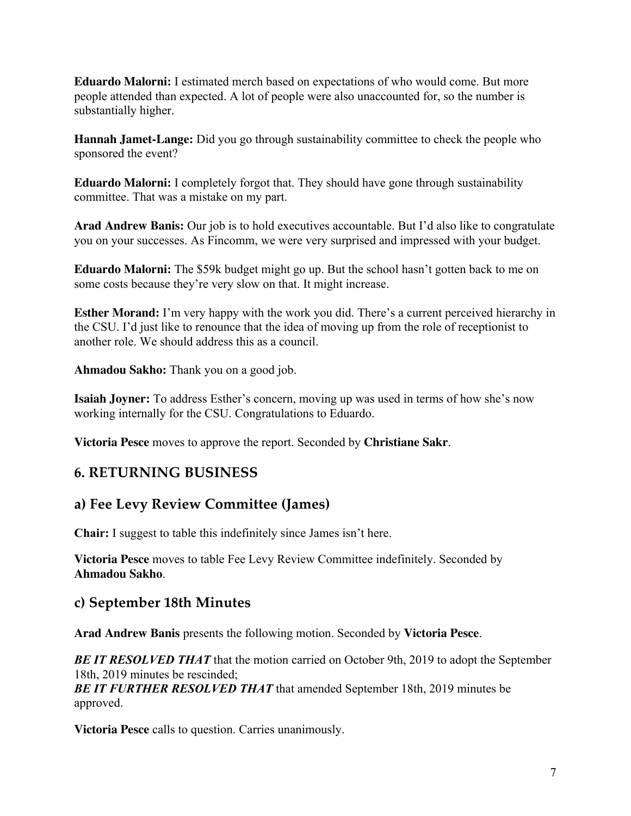**Eduardo Malorni:** I estimated merch based on expectations of who would come. But more people attended than expected. A lot of people were also unaccounted for, so the number is substantially higher.

**Hannah Jamet-Lange:** Did you go through sustainability committee to check the people who sponsored the event?

**Eduardo Malorni:** I completely forgot that. They should have gone through sustainability committee. That was a mistake on my part.

**Arad Andrew Banis:** Our job is to hold executives accountable. But I'd also like to congratulate you on your successes. As Fincomm, we were very surprised and impressed with your budget.

**Eduardo Malorni:** The \$59k budget might go up. But the school hasn't gotten back to me on some costs because they're very slow on that. It might increase.

**Esther Morand:** I'm very happy with the work you did. There's a current perceived hierarchy in the CSU. I'd just like to renounce that the idea of moving up from the role of receptionist to another role. We should address this as a council.

**Ahmadou Sakho:** Thank you on a good job.

**Isaiah Joyner:** To address Esther's concern, moving up was used in terms of how she's now working internally for the CSU. Congratulations to Eduardo.

**Victoria Pesce** moves to approve the report. Seconded by **Christiane Sakr**.

### **6. RETURNING BUSINESS**

### **a) Fee Levy Review Committee (James)**

**Chair:** I suggest to table this indefinitely since James isn't here.

**Victoria Pesce** moves to table Fee Levy Review Committee indefinitely. Seconded by **Ahmadou Sakho**.

### **c) September 18th Minutes**

**Arad Andrew Banis** presents the following motion. Seconded by **Victoria Pesce**.

*BE IT RESOLVED THAT* that the motion carried on October 9th, 2019 to adopt the September 18th, 2019 minutes be rescinded;

*BE IT FURTHER RESOLVED THAT* that amended September 18th, 2019 minutes be approved.

**Victoria Pesce** calls to question. Carries unanimously.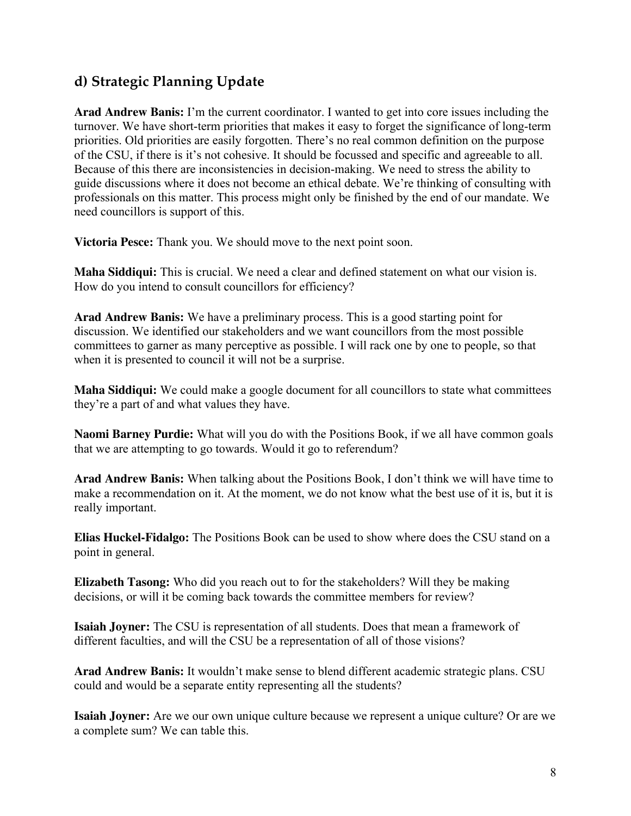## **d) Strategic Planning Update**

**Arad Andrew Banis:** I'm the current coordinator. I wanted to get into core issues including the turnover. We have short-term priorities that makes it easy to forget the significance of long-term priorities. Old priorities are easily forgotten. There's no real common definition on the purpose of the CSU, if there is it's not cohesive. It should be focussed and specific and agreeable to all. Because of this there are inconsistencies in decision-making. We need to stress the ability to guide discussions where it does not become an ethical debate. We're thinking of consulting with professionals on this matter. This process might only be finished by the end of our mandate. We need councillors is support of this.

**Victoria Pesce:** Thank you. We should move to the next point soon.

**Maha Siddiqui:** This is crucial. We need a clear and defined statement on what our vision is. How do you intend to consult councillors for efficiency?

**Arad Andrew Banis:** We have a preliminary process. This is a good starting point for discussion. We identified our stakeholders and we want councillors from the most possible committees to garner as many perceptive as possible. I will rack one by one to people, so that when it is presented to council it will not be a surprise.

**Maha Siddiqui:** We could make a google document for all councillors to state what committees they're a part of and what values they have.

**Naomi Barney Purdie:** What will you do with the Positions Book, if we all have common goals that we are attempting to go towards. Would it go to referendum?

**Arad Andrew Banis:** When talking about the Positions Book, I don't think we will have time to make a recommendation on it. At the moment, we do not know what the best use of it is, but it is really important.

**Elias Huckel-Fidalgo:** The Positions Book can be used to show where does the CSU stand on a point in general.

**Elizabeth Tasong:** Who did you reach out to for the stakeholders? Will they be making decisions, or will it be coming back towards the committee members for review?

**Isaiah Joyner:** The CSU is representation of all students. Does that mean a framework of different faculties, and will the CSU be a representation of all of those visions?

**Arad Andrew Banis:** It wouldn't make sense to blend different academic strategic plans. CSU could and would be a separate entity representing all the students?

**Isaiah Joyner:** Are we our own unique culture because we represent a unique culture? Or are we a complete sum? We can table this.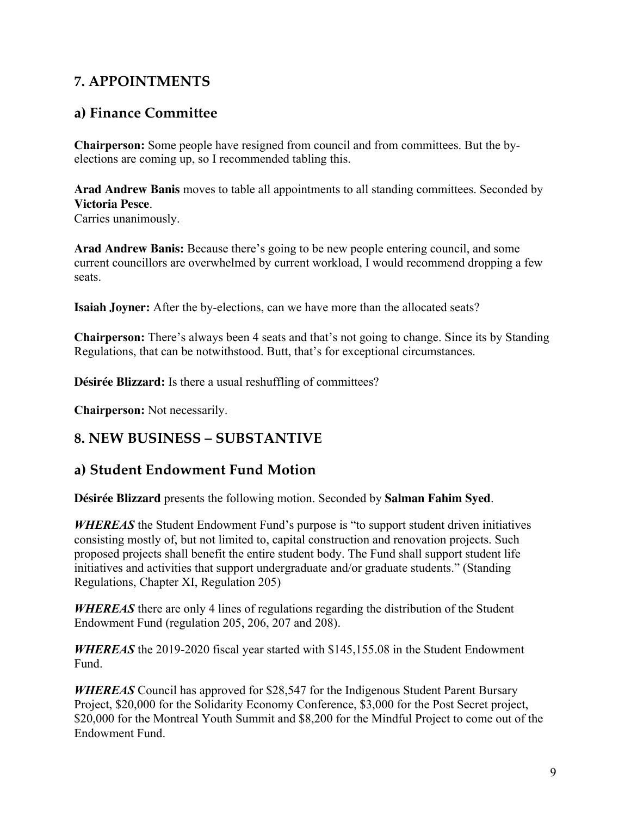## **7. APPOINTMENTS**

## **a) Finance Committee**

**Chairperson:** Some people have resigned from council and from committees. But the byelections are coming up, so I recommended tabling this.

**Arad Andrew Banis** moves to table all appointments to all standing committees. Seconded by **Victoria Pesce**. Carries unanimously.

**Arad Andrew Banis:** Because there's going to be new people entering council, and some current councillors are overwhelmed by current workload, I would recommend dropping a few seats.

**Isaiah Joyner:** After the by-elections, can we have more than the allocated seats?

**Chairperson:** There's always been 4 seats and that's not going to change. Since its by Standing Regulations, that can be notwithstood. Butt, that's for exceptional circumstances.

**Désirée Blizzard:** Is there a usual reshuffling of committees?

**Chairperson:** Not necessarily.

## **8. NEW BUSINESS – SUBSTANTIVE**

### **a) Student Endowment Fund Motion**

**Désirée Blizzard** presents the following motion. Seconded by **Salman Fahim Syed**.

*WHEREAS* the Student Endowment Fund's purpose is "to support student driven initiatives" consisting mostly of, but not limited to, capital construction and renovation projects. Such proposed projects shall benefit the entire student body. The Fund shall support student life initiatives and activities that support undergraduate and/or graduate students." (Standing Regulations, Chapter XI, Regulation 205)

*WHEREAS* there are only 4 lines of regulations regarding the distribution of the Student Endowment Fund (regulation 205, 206, 207 and 208).

*WHEREAS* the 2019-2020 fiscal year started with \$145,155.08 in the Student Endowment Fund.

*WHEREAS* Council has approved for \$28,547 for the Indigenous Student Parent Bursary Project, \$20,000 for the Solidarity Economy Conference, \$3,000 for the Post Secret project, \$20,000 for the Montreal Youth Summit and \$8,200 for the Mindful Project to come out of the Endowment Fund.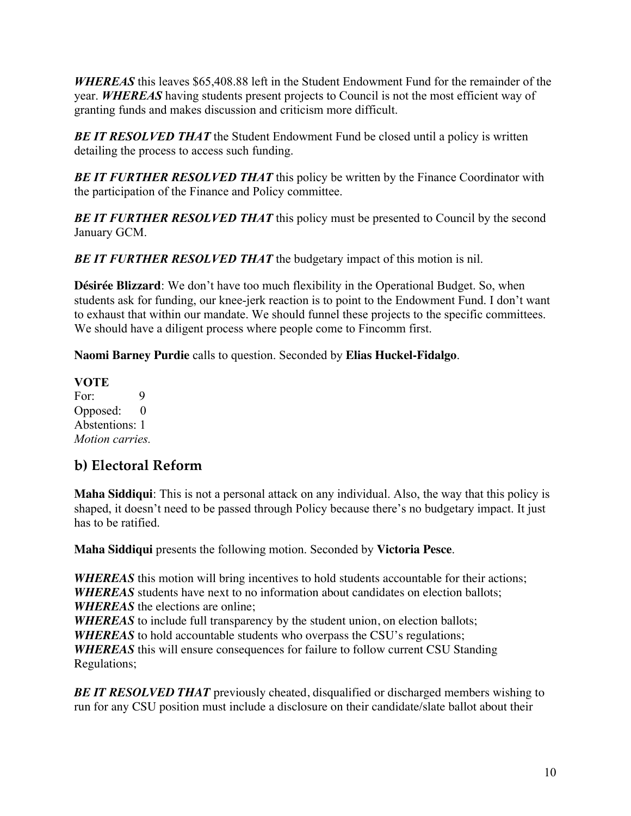*WHEREAS* this leaves \$65,408.88 left in the Student Endowment Fund for the remainder of the year. *WHEREAS* having students present projects to Council is not the most efficient way of granting funds and makes discussion and criticism more difficult.

**BE IT RESOLVED THAT** the Student Endowment Fund be closed until a policy is written detailing the process to access such funding.

**BE IT FURTHER RESOLVED THAT** this policy be written by the Finance Coordinator with the participation of the Finance and Policy committee.

*BE IT FURTHER RESOLVED THAT* this policy must be presented to Council by the second January GCM.

**BE IT FURTHER RESOLVED THAT** the budgetary impact of this motion is nil.

**Désirée Blizzard**: We don't have too much flexibility in the Operational Budget. So, when students ask for funding, our knee-jerk reaction is to point to the Endowment Fund. I don't want to exhaust that within our mandate. We should funnel these projects to the specific committees. We should have a diligent process where people come to Fincomm first.

**Naomi Barney Purdie** calls to question. Seconded by **Elias Huckel-Fidalgo**.

**VOTE** For: 9 Opposed: 0 Abstentions: 1 *Motion carries.*

## **b) Electoral Reform**

**Maha Siddiqui**: This is not a personal attack on any individual. Also, the way that this policy is shaped, it doesn't need to be passed through Policy because there's no budgetary impact. It just has to be ratified.

**Maha Siddiqui** presents the following motion. Seconded by **Victoria Pesce**.

*WHEREAS* this motion will bring incentives to hold students accountable for their actions; *WHEREAS* students have next to no information about candidates on election ballots; *WHEREAS* the elections are online; *WHEREAS* to include full transparency by the student union, on election ballots; **WHEREAS** to hold accountable students who overpass the CSU's regulations; *WHEREAS* this will ensure consequences for failure to follow current CSU Standing Regulations;

**BE IT RESOLVED THAT** previously cheated, disqualified or discharged members wishing to run for any CSU position must include a disclosure on their candidate/slate ballot about their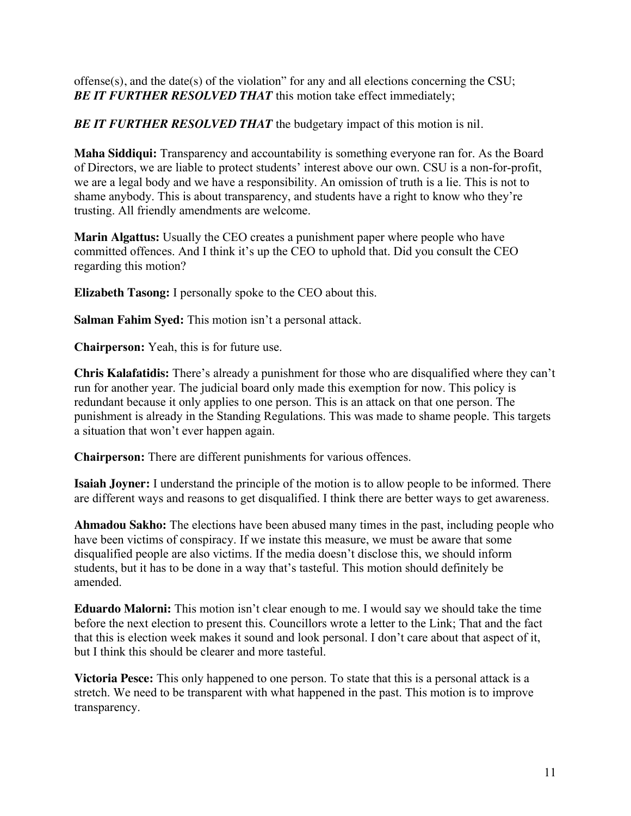offense(s), and the date(s) of the violation" for any and all elections concerning the CSU; **BE IT FURTHER RESOLVED THAT** this motion take effect immediately;

**BE IT FURTHER RESOLVED THAT** the budgetary impact of this motion is nil.

**Maha Siddiqui:** Transparency and accountability is something everyone ran for. As the Board of Directors, we are liable to protect students' interest above our own. CSU is a non-for-profit, we are a legal body and we have a responsibility. An omission of truth is a lie. This is not to shame anybody. This is about transparency, and students have a right to know who they're trusting. All friendly amendments are welcome.

**Marin Algattus:** Usually the CEO creates a punishment paper where people who have committed offences. And I think it's up the CEO to uphold that. Did you consult the CEO regarding this motion?

**Elizabeth Tasong:** I personally spoke to the CEO about this.

**Salman Fahim Syed:** This motion isn't a personal attack.

**Chairperson:** Yeah, this is for future use.

**Chris Kalafatidis:** There's already a punishment for those who are disqualified where they can't run for another year. The judicial board only made this exemption for now. This policy is redundant because it only applies to one person. This is an attack on that one person. The punishment is already in the Standing Regulations. This was made to shame people. This targets a situation that won't ever happen again.

**Chairperson:** There are different punishments for various offences.

**Isaiah Joyner:** I understand the principle of the motion is to allow people to be informed. There are different ways and reasons to get disqualified. I think there are better ways to get awareness.

**Ahmadou Sakho:** The elections have been abused many times in the past, including people who have been victims of conspiracy. If we instate this measure, we must be aware that some disqualified people are also victims. If the media doesn't disclose this, we should inform students, but it has to be done in a way that's tasteful. This motion should definitely be amended.

**Eduardo Malorni:** This motion isn't clear enough to me. I would say we should take the time before the next election to present this. Councillors wrote a letter to the Link; That and the fact that this is election week makes it sound and look personal. I don't care about that aspect of it, but I think this should be clearer and more tasteful.

**Victoria Pesce:** This only happened to one person. To state that this is a personal attack is a stretch. We need to be transparent with what happened in the past. This motion is to improve transparency.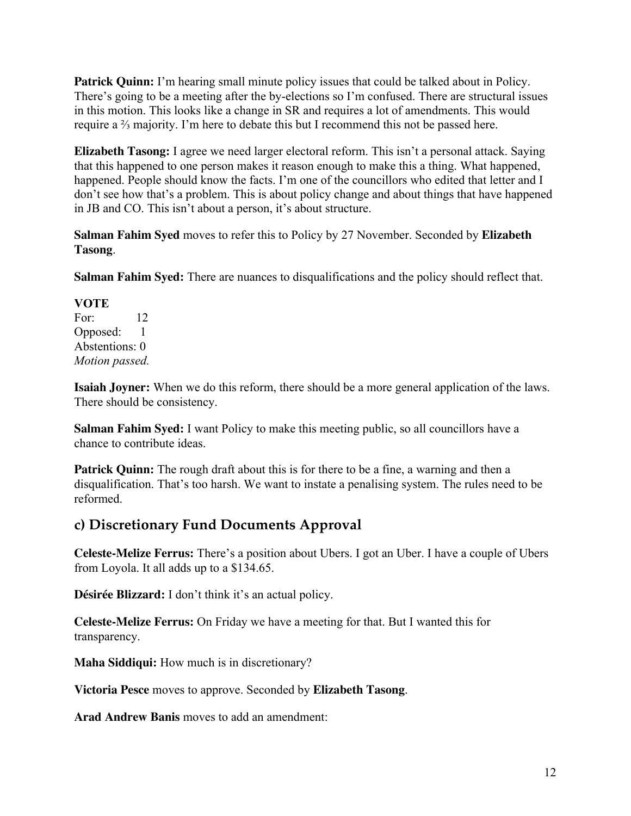**Patrick Quinn:** I'm hearing small minute policy issues that could be talked about in Policy. There's going to be a meeting after the by-elections so I'm confused. There are structural issues in this motion. This looks like a change in SR and requires a lot of amendments. This would require a ⅔ majority. I'm here to debate this but I recommend this not be passed here.

**Elizabeth Tasong:** I agree we need larger electoral reform. This isn't a personal attack. Saying that this happened to one person makes it reason enough to make this a thing. What happened, happened. People should know the facts. I'm one of the councillors who edited that letter and I don't see how that's a problem. This is about policy change and about things that have happened in JB and CO. This isn't about a person, it's about structure.

**Salman Fahim Syed** moves to refer this to Policy by 27 November. Seconded by **Elizabeth Tasong**.

**Salman Fahim Syed:** There are nuances to disqualifications and the policy should reflect that.

**VOTE** For: 12 Opposed: 1 Abstentions: 0 *Motion passed.* 

**Isaiah Joyner:** When we do this reform, there should be a more general application of the laws. There should be consistency.

**Salman Fahim Syed:** I want Policy to make this meeting public, so all councillors have a chance to contribute ideas.

**Patrick Quinn:** The rough draft about this is for there to be a fine, a warning and then a disqualification. That's too harsh. We want to instate a penalising system. The rules need to be reformed.

## **c) Discretionary Fund Documents Approval**

**Celeste-Melize Ferrus:** There's a position about Ubers. I got an Uber. I have a couple of Ubers from Loyola. It all adds up to a \$134.65.

**Désirée Blizzard:** I don't think it's an actual policy.

**Celeste-Melize Ferrus:** On Friday we have a meeting for that. But I wanted this for transparency.

**Maha Siddiqui:** How much is in discretionary?

**Victoria Pesce** moves to approve. Seconded by **Elizabeth Tasong**.

**Arad Andrew Banis** moves to add an amendment: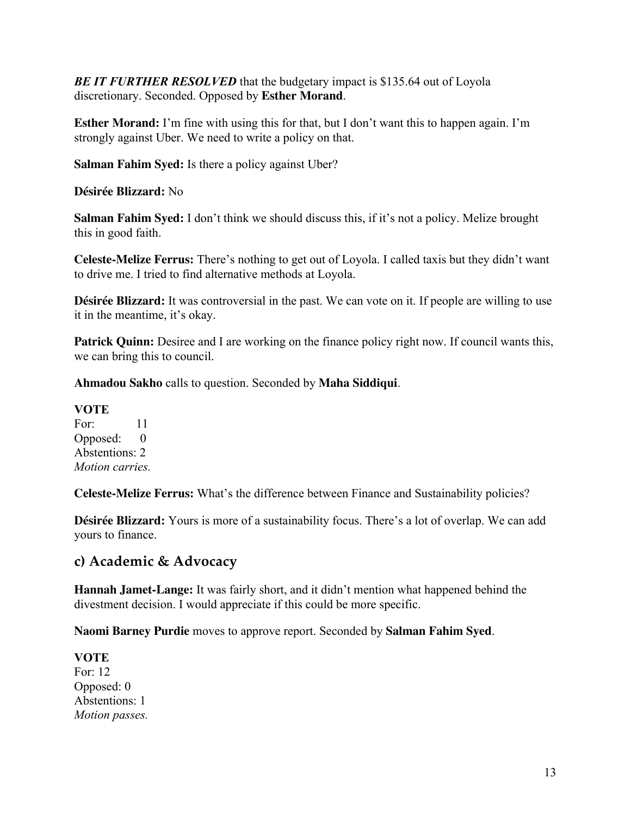*BE IT FURTHER RESOLVED* that the budgetary impact is \$135.64 out of Loyola discretionary. Seconded. Opposed by **Esther Morand**.

**Esther Morand:** I'm fine with using this for that, but I don't want this to happen again. I'm strongly against Uber. We need to write a policy on that.

**Salman Fahim Syed:** Is there a policy against Uber?

**Désirée Blizzard:** No

**Salman Fahim Syed:** I don't think we should discuss this, if it's not a policy. Melize brought this in good faith.

**Celeste-Melize Ferrus:** There's nothing to get out of Loyola. I called taxis but they didn't want to drive me. I tried to find alternative methods at Loyola.

**Désirée Blizzard:** It was controversial in the past. We can vote on it. If people are willing to use it in the meantime, it's okay.

**Patrick Quinn:** Desiree and I are working on the finance policy right now. If council wants this, we can bring this to council.

**Ahmadou Sakho** calls to question. Seconded by **Maha Siddiqui**.

**VOTE**  For: 11 Opposed: 0 Abstentions: 2 *Motion carries.*

**Celeste-Melize Ferrus:** What's the difference between Finance and Sustainability policies?

**Désirée Blizzard:** Yours is more of a sustainability focus. There's a lot of overlap. We can add yours to finance.

### **c) Academic & Advocacy**

**Hannah Jamet-Lange:** It was fairly short, and it didn't mention what happened behind the divestment decision. I would appreciate if this could be more specific.

**Naomi Barney Purdie** moves to approve report. Seconded by **Salman Fahim Syed**.

**VOTE** For: 12 Opposed: 0 Abstentions: 1 *Motion passes.*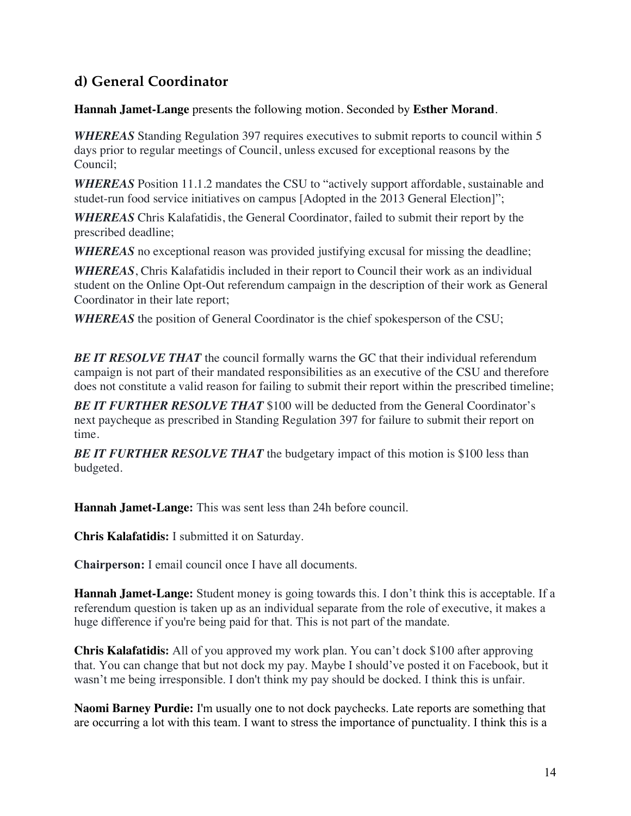## **d) General Coordinator**

**Hannah Jamet-Lange** presents the following motion. Seconded by **Esther Morand**.

*WHEREAS* Standing Regulation 397 requires executives to submit reports to council within 5 days prior to regular meetings of Council, unless excused for exceptional reasons by the Council;

*WHEREAS* Position 11.1.2 mandates the CSU to "actively support affordable, sustainable and studet-run food service initiatives on campus [Adopted in the 2013 General Election]";

*WHEREAS* Chris Kalafatidis, the General Coordinator, failed to submit their report by the prescribed deadline;

*WHEREAS* no exceptional reason was provided justifying excusal for missing the deadline;

*WHEREAS*, Chris Kalafatidis included in their report to Council their work as an individual student on the Online Opt-Out referendum campaign in the description of their work as General Coordinator in their late report;

*WHEREAS* the position of General Coordinator is the chief spokesperson of the CSU;

**BE IT RESOLVE THAT** the council formally warns the GC that their individual referendum campaign is not part of their mandated responsibilities as an executive of the CSU and therefore does not constitute a valid reason for failing to submit their report within the prescribed timeline;

*BE IT FURTHER RESOLVE THAT* \$100 will be deducted from the General Coordinator's next paycheque as prescribed in Standing Regulation 397 for failure to submit their report on time.

**BE IT FURTHER RESOLVE THAT** the budgetary impact of this motion is \$100 less than budgeted.

**Hannah Jamet-Lange:** This was sent less than 24h before council.

**Chris Kalafatidis:** I submitted it on Saturday.

**Chairperson:** I email council once I have all documents.

**Hannah Jamet-Lange:** Student money is going towards this. I don't think this is acceptable. If a referendum question is taken up as an individual separate from the role of executive, it makes a huge difference if you're being paid for that. This is not part of the mandate.

**Chris Kalafatidis:** All of you approved my work plan. You can't dock \$100 after approving that. You can change that but not dock my pay. Maybe I should've posted it on Facebook, but it wasn't me being irresponsible. I don't think my pay should be docked. I think this is unfair.

**Naomi Barney Purdie:** I'm usually one to not dock paychecks. Late reports are something that are occurring a lot with this team. I want to stress the importance of punctuality. I think this is a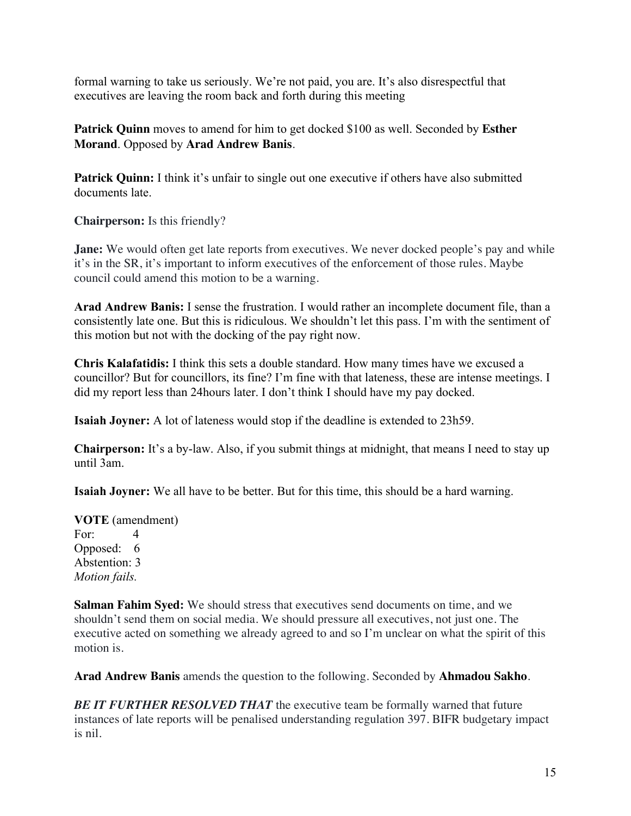formal warning to take us seriously. We're not paid, you are. It's also disrespectful that executives are leaving the room back and forth during this meeting

**Patrick Quinn** moves to amend for him to get docked \$100 as well. Seconded by **Esther Morand**. Opposed by **Arad Andrew Banis**.

**Patrick Quinn:** I think it's unfair to single out one executive if others have also submitted documents late.

**Chairperson:** Is this friendly?

**Jane:** We would often get late reports from executives. We never docked people's pay and while it's in the SR, it's important to inform executives of the enforcement of those rules. Maybe council could amend this motion to be a warning.

**Arad Andrew Banis:** I sense the frustration. I would rather an incomplete document file, than a consistently late one. But this is ridiculous. We shouldn't let this pass. I'm with the sentiment of this motion but not with the docking of the pay right now.

**Chris Kalafatidis:** I think this sets a double standard. How many times have we excused a councillor? But for councillors, its fine? I'm fine with that lateness, these are intense meetings. I did my report less than 24hours later. I don't think I should have my pay docked.

**Isaiah Joyner:** A lot of lateness would stop if the deadline is extended to 23h59.

**Chairperson:** It's a by-law. Also, if you submit things at midnight, that means I need to stay up until 3am.

**Isaiah Joyner:** We all have to be better. But for this time, this should be a hard warning.

**VOTE** (amendment) For: 4 Opposed: 6 Abstention: 3 *Motion fails.*

**Salman Fahim Syed:** We should stress that executives send documents on time, and we shouldn't send them on social media. We should pressure all executives, not just one. The executive acted on something we already agreed to and so I'm unclear on what the spirit of this motion is.

**Arad Andrew Banis** amends the question to the following. Seconded by **Ahmadou Sakho**.

*BE IT FURTHER RESOLVED THAT* the executive team be formally warned that future instances of late reports will be penalised understanding regulation 397. BIFR budgetary impact is nil.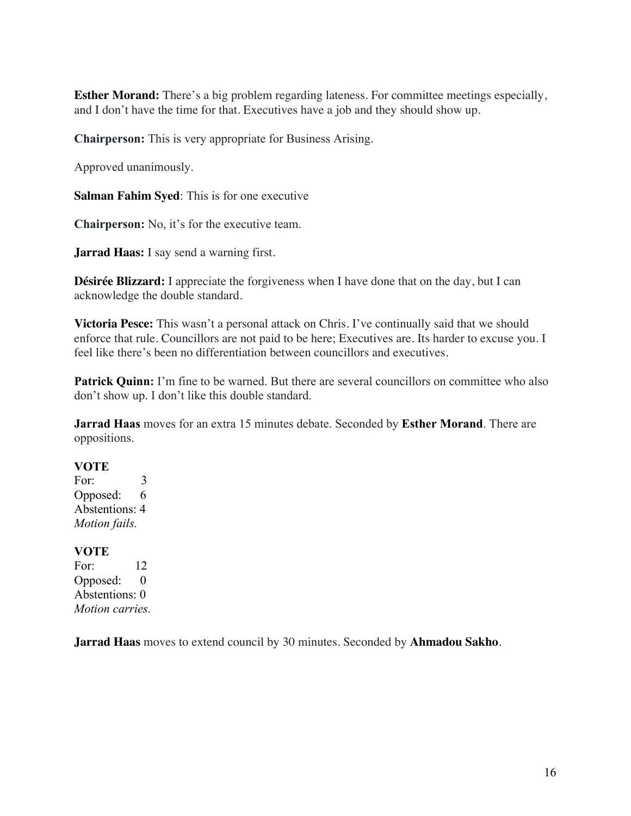**Esther Morand:** There's a big problem regarding lateness. For committee meetings especially, and I don't have the time for that. Executives have a job and they should show up.

**Chairperson:** This is very appropriate for Business Arising.

Approved unanimously.

**Salman Fahim Syed**: This is for one executive

**Chairperson:** No, it's for the executive team.

**Jarrad Haas:** I say send a warning first.

**Désirée Blizzard:** I appreciate the forgiveness when I have done that on the day, but I can acknowledge the double standard.

**Victoria Pesce:** This wasn't a personal attack on Chris. I've continually said that we should enforce that rule. Councillors are not paid to be here; Executives are. Its harder to excuse you. I feel like there's been no differentiation between councillors and executives.

Patrick Quinn: I'm fine to be warned. But there are several councillors on committee who also don't show up. I don't like this double standard.

**Jarrad Haas** moves for an extra 15 minutes debate. Seconded by **Esther Morand**. There are oppositions.

#### **VOTE**

For: 3 Opposed: 6 Abstentions: 4 *Motion fails.*

#### **VOTE**

For: 12 Opposed: 0 Abstentions: 0 *Motion carries.*

**Jarrad Haas** moves to extend council by 30 minutes. Seconded by **Ahmadou Sakho**.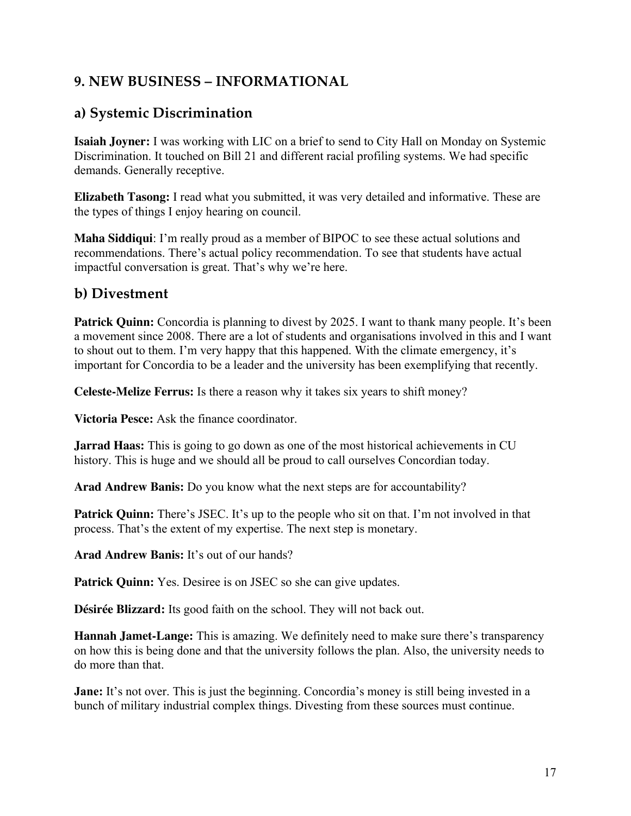## **9. NEW BUSINESS – INFORMATIONAL**

## **a) Systemic Discrimination**

**Isaiah Joyner:** I was working with LIC on a brief to send to City Hall on Monday on Systemic Discrimination. It touched on Bill 21 and different racial profiling systems. We had specific demands. Generally receptive.

**Elizabeth Tasong:** I read what you submitted, it was very detailed and informative. These are the types of things I enjoy hearing on council.

**Maha Siddiqui**: I'm really proud as a member of BIPOC to see these actual solutions and recommendations. There's actual policy recommendation. To see that students have actual impactful conversation is great. That's why we're here.

### **b) Divestment**

**Patrick Quinn:** Concordia is planning to divest by 2025. I want to thank many people. It's been a movement since 2008. There are a lot of students and organisations involved in this and I want to shout out to them. I'm very happy that this happened. With the climate emergency, it's important for Concordia to be a leader and the university has been exemplifying that recently.

**Celeste-Melize Ferrus:** Is there a reason why it takes six years to shift money?

**Victoria Pesce:** Ask the finance coordinator.

**Jarrad Haas:** This is going to go down as one of the most historical achievements in CU history. This is huge and we should all be proud to call ourselves Concordian today.

**Arad Andrew Banis:** Do you know what the next steps are for accountability?

**Patrick Quinn:** There's JSEC. It's up to the people who sit on that. I'm not involved in that process. That's the extent of my expertise. The next step is monetary.

**Arad Andrew Banis:** It's out of our hands?

**Patrick Quinn:** Yes. Desiree is on JSEC so she can give updates.

**Désirée Blizzard:** Its good faith on the school. They will not back out.

**Hannah Jamet-Lange:** This is amazing. We definitely need to make sure there's transparency on how this is being done and that the university follows the plan. Also, the university needs to do more than that.

**Jane:** It's not over. This is just the beginning. Concordia's money is still being invested in a bunch of military industrial complex things. Divesting from these sources must continue.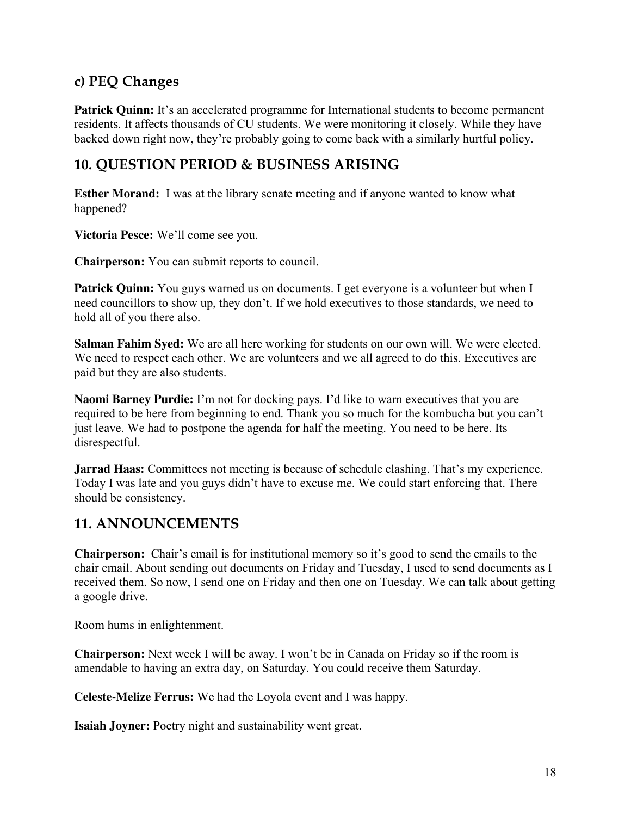## **c) PEQ Changes**

**Patrick Quinn:** It's an accelerated programme for International students to become permanent residents. It affects thousands of CU students. We were monitoring it closely. While they have backed down right now, they're probably going to come back with a similarly hurtful policy.

## **10. QUESTION PERIOD & BUSINESS ARISING**

**Esther Morand:** I was at the library senate meeting and if anyone wanted to know what happened?

**Victoria Pesce:** We'll come see you.

**Chairperson:** You can submit reports to council.

**Patrick Quinn:** You guys warned us on documents. I get everyone is a volunteer but when I need councillors to show up, they don't. If we hold executives to those standards, we need to hold all of you there also.

**Salman Fahim Syed:** We are all here working for students on our own will. We were elected. We need to respect each other. We are volunteers and we all agreed to do this. Executives are paid but they are also students.

**Naomi Barney Purdie:** I'm not for docking pays. I'd like to warn executives that you are required to be here from beginning to end. Thank you so much for the kombucha but you can't just leave. We had to postpone the agenda for half the meeting. You need to be here. Its disrespectful.

**Jarrad Haas:** Committees not meeting is because of schedule clashing. That's my experience. Today I was late and you guys didn't have to excuse me. We could start enforcing that. There should be consistency.

### **11. ANNOUNCEMENTS**

**Chairperson:** Chair's email is for institutional memory so it's good to send the emails to the chair email. About sending out documents on Friday and Tuesday, I used to send documents as I received them. So now, I send one on Friday and then one on Tuesday. We can talk about getting a google drive.

Room hums in enlightenment.

**Chairperson:** Next week I will be away. I won't be in Canada on Friday so if the room is amendable to having an extra day, on Saturday. You could receive them Saturday.

**Celeste-Melize Ferrus:** We had the Loyola event and I was happy.

**Isaiah Joyner:** Poetry night and sustainability went great.